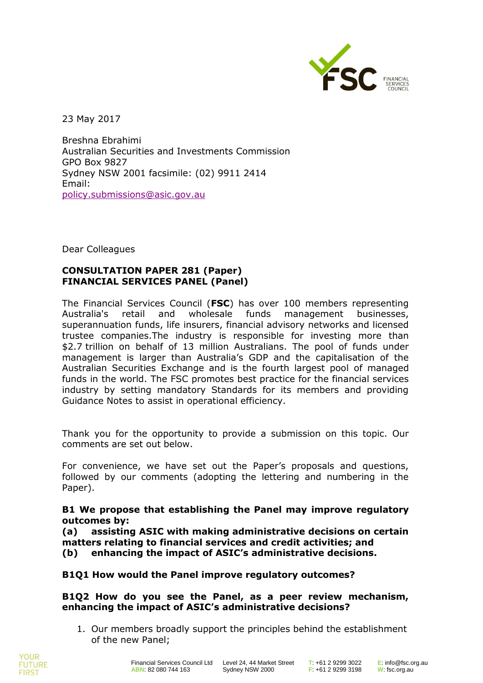

23 May 2017

Breshna Ebrahimi Australian Securities and Investments Commission GPO Box 9827 Sydney NSW 2001 facsimile: (02) 9911 2414 Email: [policy.submissions@asic.gov.au](mailto:policy.submissions@asic.gov.au)

Dear Colleagues

# **CONSULTATION PAPER 281 (Paper) FINANCIAL SERVICES PANEL (Panel)**

The Financial Services Council (**FSC**) has over 100 members representing Australia's retail and wholesale funds management businesses, superannuation funds, life insurers, financial advisory networks and licensed trustee companies.The industry is responsible for investing more than \$2.7 trillion on behalf of 13 million Australians. The pool of funds under management is larger than Australia's GDP and the capitalisation of the Australian Securities Exchange and is the fourth largest pool of managed funds in the world. The FSC promotes best practice for the financial services industry by setting mandatory Standards for its members and providing Guidance Notes to assist in operational efficiency.

Thank you for the opportunity to provide a submission on this topic. Our comments are set out below.

For convenience, we have set out the Paper's proposals and questions, followed by our comments (adopting the lettering and numbering in the Paper).

### **B1 We propose that establishing the Panel may improve regulatory outcomes by:**

**(a) assisting ASIC with making administrative decisions on certain matters relating to financial services and credit activities; and (b) enhancing the impact of ASIC's administrative decisions.**

## **B1Q1 How would the Panel improve regulatory outcomes?**

### **B1Q2 How do you see the Panel, as a peer review mechanism, enhancing the impact of ASIC's administrative decisions?**

1. Our members broadly support the principles behind the establishment of the new Panel;

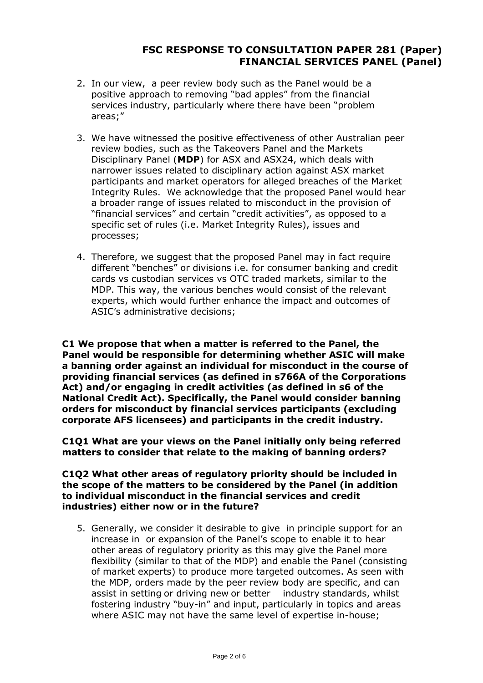- 2. In our view, a peer review body such as the Panel would be a positive approach to removing "bad apples" from the financial services industry, particularly where there have been "problem areas;"
- 3. We have witnessed the positive effectiveness of other Australian peer review bodies, such as the Takeovers Panel and the Markets Disciplinary Panel (**MDP**) for ASX and ASX24, which deals with narrower issues related to disciplinary action against ASX market participants and market operators for alleged breaches of the Market Integrity Rules. We acknowledge that the proposed Panel would hear a broader range of issues related to misconduct in the provision of "financial services" and certain "credit activities", as opposed to a specific set of rules (i.e. Market Integrity Rules), issues and processes;
- 4. Therefore, we suggest that the proposed Panel may in fact require different "benches" or divisions i.e. for consumer banking and credit cards vs custodian services vs OTC traded markets, similar to the MDP. This way, the various benches would consist of the relevant experts, which would further enhance the impact and outcomes of ASIC's administrative decisions;

**C1 We propose that when a matter is referred to the Panel, the Panel would be responsible for determining whether ASIC will make a banning order against an individual for misconduct in the course of providing financial services (as defined in s766A of the Corporations Act) and/or engaging in credit activities (as defined in s6 of the National Credit Act). Specifically, the Panel would consider banning orders for misconduct by financial services participants (excluding corporate AFS licensees) and participants in the credit industry.**

**C1Q1 What are your views on the Panel initially only being referred matters to consider that relate to the making of banning orders?**

#### **C1Q2 What other areas of regulatory priority should be included in the scope of the matters to be considered by the Panel (in addition to individual misconduct in the financial services and credit industries) either now or in the future?**

5. Generally, we consider it desirable to give in principle support for an increase in or expansion of the Panel's scope to enable it to hear other areas of regulatory priority as this may give the Panel more flexibility (similar to that of the MDP) and enable the Panel (consisting of market experts) to produce more targeted outcomes. As seen with the MDP, orders made by the peer review body are specific, and can assist in setting or driving new or better industry standards, whilst fostering industry "buy-in" and input, particularly in topics and areas where ASIC may not have the same level of expertise in-house;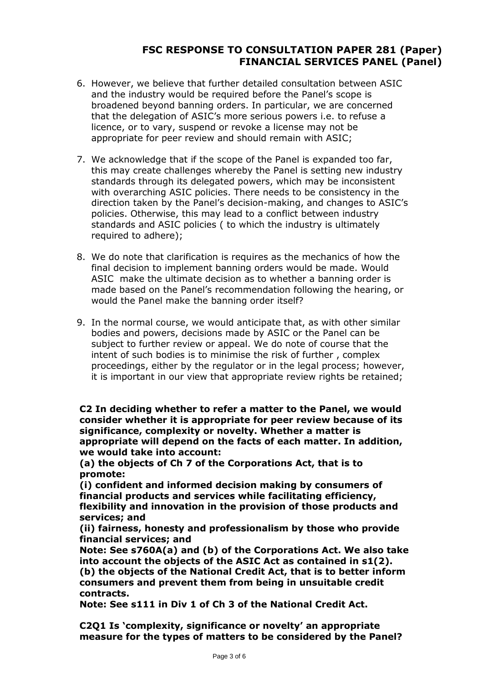- 6. However, we believe that further detailed consultation between ASIC and the industry would be required before the Panel's scope is broadened beyond banning orders. In particular, we are concerned that the delegation of ASIC's more serious powers i.e. to refuse a licence, or to vary, suspend or revoke a license may not be appropriate for peer review and should remain with ASIC;
- 7. We acknowledge that if the scope of the Panel is expanded too far, this may create challenges whereby the Panel is setting new industry standards through its delegated powers, which may be inconsistent with overarching ASIC policies. There needs to be consistency in the direction taken by the Panel's decision-making, and changes to ASIC's policies. Otherwise, this may lead to a conflict between industry standards and ASIC policies ( to which the industry is ultimately required to adhere);
- 8. We do note that clarification is requires as the mechanics of how the final decision to implement banning orders would be made. Would ASIC make the ultimate decision as to whether a banning order is made based on the Panel's recommendation following the hearing, or would the Panel make the banning order itself?
- 9. In the normal course, we would anticipate that, as with other similar bodies and powers, decisions made by ASIC or the Panel can be subject to further review or appeal. We do note of course that the intent of such bodies is to minimise the risk of further , complex proceedings, either by the regulator or in the legal process; however, it is important in our view that appropriate review rights be retained;

**C2 In deciding whether to refer a matter to the Panel, we would consider whether it is appropriate for peer review because of its significance, complexity or novelty. Whether a matter is appropriate will depend on the facts of each matter. In addition, we would take into account:**

**(a) the objects of Ch 7 of the Corporations Act, that is to promote:**

**(i) confident and informed decision making by consumers of financial products and services while facilitating efficiency, flexibility and innovation in the provision of those products and services; and**

**(ii) fairness, honesty and professionalism by those who provide financial services; and**

**Note: See s760A(a) and (b) of the Corporations Act. We also take into account the objects of the ASIC Act as contained in s1(2). (b) the objects of the National Credit Act, that is to better inform consumers and prevent them from being in unsuitable credit contracts.**

**Note: See s111 in Div 1 of Ch 3 of the National Credit Act.**

**C2Q1 Is 'complexity, significance or novelty' an appropriate measure for the types of matters to be considered by the Panel?**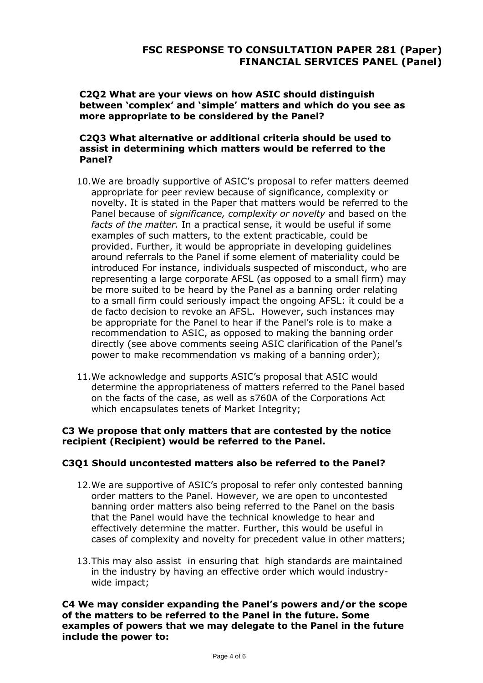**C2Q2 What are your views on how ASIC should distinguish between 'complex' and 'simple' matters and which do you see as more appropriate to be considered by the Panel?**

### **C2Q3 What alternative or additional criteria should be used to assist in determining which matters would be referred to the Panel?**

- 10.We are broadly supportive of ASIC's proposal to refer matters deemed appropriate for peer review because of significance, complexity or novelty. It is stated in the Paper that matters would be referred to the Panel because of *significance, complexity or novelty* and based on the *facts of the matter.* In a practical sense, it would be useful if some examples of such matters, to the extent practicable, could be provided. Further, it would be appropriate in developing guidelines around referrals to the Panel if some element of materiality could be introduced For instance, individuals suspected of misconduct, who are representing a large corporate AFSL (as opposed to a small firm) may be more suited to be heard by the Panel as a banning order relating to a small firm could seriously impact the ongoing AFSL: it could be a de facto decision to revoke an AFSL. However, such instances may be appropriate for the Panel to hear if the Panel's role is to make a recommendation to ASIC, as opposed to making the banning order directly (see above comments seeing ASIC clarification of the Panel's power to make recommendation vs making of a banning order);
- 11.We acknowledge and supports ASIC's proposal that ASIC would determine the appropriateness of matters referred to the Panel based on the facts of the case, as well as s760A of the Corporations Act which encapsulates tenets of Market Integrity;

### **C3 We propose that only matters that are contested by the notice recipient (Recipient) would be referred to the Panel.**

## **C3Q1 Should uncontested matters also be referred to the Panel?**

- 12.We are supportive of ASIC's proposal to refer only contested banning order matters to the Panel. However, we are open to uncontested banning order matters also being referred to the Panel on the basis that the Panel would have the technical knowledge to hear and effectively determine the matter. Further, this would be useful in cases of complexity and novelty for precedent value in other matters;
- 13.This may also assist in ensuring that high standards are maintained in the industry by having an effective order which would industrywide impact;

**C4 We may consider expanding the Panel's powers and/or the scope of the matters to be referred to the Panel in the future. Some examples of powers that we may delegate to the Panel in the future include the power to:**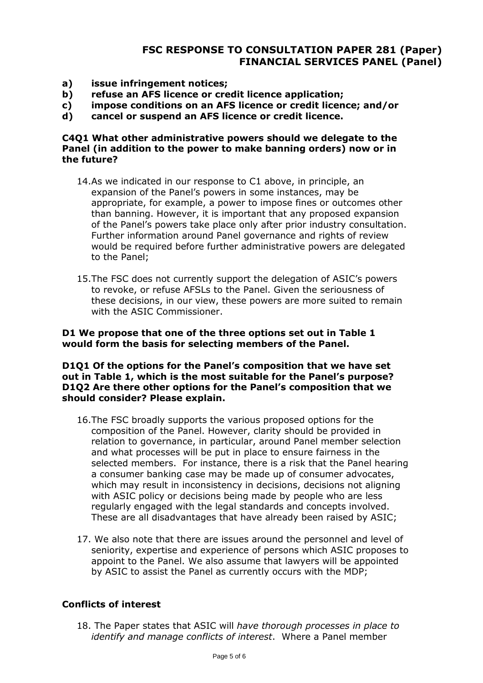- **a) issue infringement notices;**
- **b) refuse an AFS licence or credit licence application;**
- **c) impose conditions on an AFS licence or credit licence; and/or**
- **d) cancel or suspend an AFS licence or credit licence.**

### **C4Q1 What other administrative powers should we delegate to the Panel (in addition to the power to make banning orders) now or in the future?**

- 14.As we indicated in our response to C1 above, in principle, an expansion of the Panel's powers in some instances, may be appropriate, for example, a power to impose fines or outcomes other than banning. However, it is important that any proposed expansion of the Panel's powers take place only after prior industry consultation. Further information around Panel governance and rights of review would be required before further administrative powers are delegated to the Panel;
- 15.The FSC does not currently support the delegation of ASIC's powers to revoke, or refuse AFSLs to the Panel. Given the seriousness of these decisions, in our view, these powers are more suited to remain with the ASIC Commissioner.

### **D1 We propose that one of the three options set out in Table 1 would form the basis for selecting members of the Panel.**

#### **D1Q1 Of the options for the Panel's composition that we have set out in Table 1, which is the most suitable for the Panel's purpose? D1Q2 Are there other options for the Panel's composition that we should consider? Please explain.**

- 16.The FSC broadly supports the various proposed options for the composition of the Panel. However, clarity should be provided in relation to governance, in particular, around Panel member selection and what processes will be put in place to ensure fairness in the selected members. For instance, there is a risk that the Panel hearing a consumer banking case may be made up of consumer advocates, which may result in inconsistency in decisions, decisions not aligning with ASIC policy or decisions being made by people who are less regularly engaged with the legal standards and concepts involved. These are all disadvantages that have already been raised by ASIC;
- 17. We also note that there are issues around the personnel and level of seniority, expertise and experience of persons which ASIC proposes to appoint to the Panel. We also assume that lawyers will be appointed by ASIC to assist the Panel as currently occurs with the MDP;

## **Conflicts of interest**

18. The Paper states that ASIC will *have thorough processes in place to identify and manage conflicts of interest*. Where a Panel member